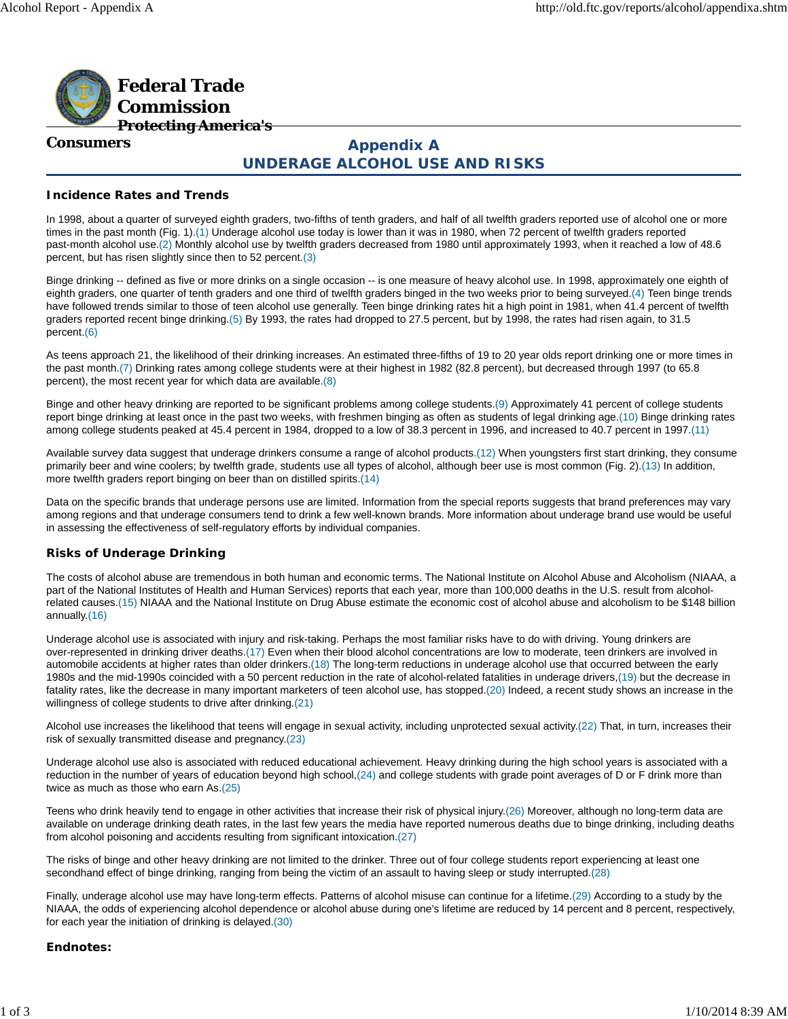

#### **Consumers**

# **Appendix A UNDERAGE ALCOHOL USE AND RISKS**

# **Incidence Rates and Trends**

In 1998, about a quarter of surveyed eighth graders, two-fifths of tenth graders, and half of all twelfth graders reported use of alcohol one or more times in the past month (Fig. 1).(1) Underage alcohol use today is lower than it was in 1980, when 72 percent of twelfth graders reported past-month alcohol use.(2) Monthly alcohol use by twelfth graders decreased from 1980 until approximately 1993, when it reached a low of 48.6 percent, but has risen slightly since then to 52 percent.(3)

Binge drinking -- defined as five or more drinks on a single occasion -- is one measure of heavy alcohol use. In 1998, approximately one eighth of eighth graders, one quarter of tenth graders and one third of twelfth graders binged in the two weeks prior to being surveyed.(4) Teen binge trends have followed trends similar to those of teen alcohol use generally. Teen binge drinking rates hit a high point in 1981, when 41.4 percent of twelfth graders reported recent binge drinking.(5) By 1993, the rates had dropped to 27.5 percent, but by 1998, the rates had risen again, to 31.5 percent.(6)

As teens approach 21, the likelihood of their drinking increases. An estimated three-fifths of 19 to 20 year olds report drinking one or more times in the past month.(7) Drinking rates among college students were at their highest in 1982 (82.8 percent), but decreased through 1997 (to 65.8 percent), the most recent year for which data are available.(8)

Binge and other heavy drinking are reported to be significant problems among college students.(9) Approximately 41 percent of college students report binge drinking at least once in the past two weeks, with freshmen binging as often as students of legal drinking age.(10) Binge drinking rates among college students peaked at 45.4 percent in 1984, dropped to a low of 38.3 percent in 1996, and increased to 40.7 percent in 1997.(11)

Available survey data suggest that underage drinkers consume a range of alcohol products.(12) When youngsters first start drinking, they consume primarily beer and wine coolers; by twelfth grade, students use all types of alcohol, although beer use is most common (Fig. 2).(13) In addition, more twelfth graders report binging on beer than on distilled spirits.(14)

Data on the specific brands that underage persons use are limited. Information from the special reports suggests that brand preferences may vary among regions and that underage consumers tend to drink a few well-known brands. More information about underage brand use would be useful in assessing the effectiveness of self-regulatory efforts by individual companies.

## **Risks of Underage Drinking**

The costs of alcohol abuse are tremendous in both human and economic terms. The National Institute on Alcohol Abuse and Alcoholism (NIAAA, a part of the National Institutes of Health and Human Services) reports that each year, more than 100,000 deaths in the U.S. result from alcoholrelated causes.(15) NIAAA and the National Institute on Drug Abuse estimate the economic cost of alcohol abuse and alcoholism to be \$148 billion annually.(16)

Underage alcohol use is associated with injury and risk-taking. Perhaps the most familiar risks have to do with driving. Young drinkers are over-represented in drinking driver deaths.(17) Even when their blood alcohol concentrations are low to moderate, teen drinkers are involved in automobile accidents at higher rates than older drinkers.(18) The long-term reductions in underage alcohol use that occurred between the early 1980s and the mid-1990s coincided with a 50 percent reduction in the rate of alcohol-related fatalities in underage drivers,(19) but the decrease in fatality rates, like the decrease in many important marketers of teen alcohol use, has stopped.(20) Indeed, a recent study shows an increase in the willingness of college students to drive after drinking.(21)

Alcohol use increases the likelihood that teens will engage in sexual activity, including unprotected sexual activity.(22) That, in turn, increases their risk of sexually transmitted disease and pregnancy.(23)

Underage alcohol use also is associated with reduced educational achievement. Heavy drinking during the high school years is associated with a reduction in the number of years of education beyond high school,(24) and college students with grade point averages of D or F drink more than twice as much as those who earn As.(25)

Teens who drink heavily tend to engage in other activities that increase their risk of physical injury.(26) Moreover, although no long-term data are available on underage drinking death rates, in the last few years the media have reported numerous deaths due to binge drinking, including deaths from alcohol poisoning and accidents resulting from significant intoxication.(27)

The risks of binge and other heavy drinking are not limited to the drinker. Three out of four college students report experiencing at least one secondhand effect of binge drinking, ranging from being the victim of an assault to having sleep or study interrupted.(28)

Finally, underage alcohol use may have long-term effects. Patterns of alcohol misuse can continue for a lifetime.(29) According to a study by the NIAAA, the odds of experiencing alcohol dependence or alcohol abuse during one's lifetime are reduced by 14 percent and 8 percent, respectively, for each year the initiation of drinking is delayed.(30)

## **Endnotes:**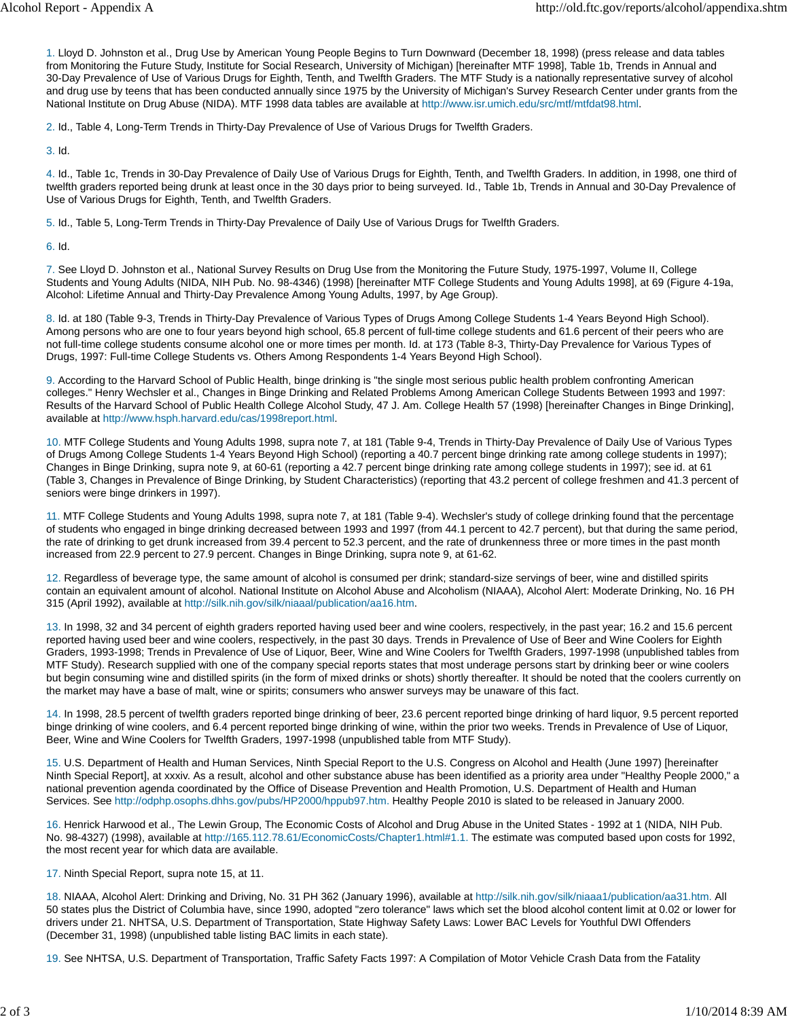1. Lloyd D. Johnston et al., Drug Use by American Young People Begins to Turn Downward (December 18, 1998) (press release and data tables from Monitoring the Future Study, Institute for Social Research, University of Michigan) [hereinafter MTF 1998], Table 1b, Trends in Annual and 30-Day Prevalence of Use of Various Drugs for Eighth, Tenth, and Twelfth Graders. The MTF Study is a nationally representative survey of alcohol and drug use by teens that has been conducted annually since 1975 by the University of Michigan's Survey Research Center under grants from the National Institute on Drug Abuse (NIDA). MTF 1998 data tables are available at http://www.isr.umich.edu/src/mtf/mtfdat98.html.

2. Id., Table 4, Long-Term Trends in Thirty-Day Prevalence of Use of Various Drugs for Twelfth Graders.

3. Id.

4. Id., Table 1c, Trends in 30-Day Prevalence of Daily Use of Various Drugs for Eighth, Tenth, and Twelfth Graders. In addition, in 1998, one third of twelfth graders reported being drunk at least once in the 30 days prior to being surveyed. Id., Table 1b, Trends in Annual and 30-Day Prevalence of Use of Various Drugs for Eighth, Tenth, and Twelfth Graders.

5. Id., Table 5, Long-Term Trends in Thirty-Day Prevalence of Daily Use of Various Drugs for Twelfth Graders.

6. Id.

7. See Lloyd D. Johnston et al., National Survey Results on Drug Use from the Monitoring the Future Study, 1975-1997, Volume II, College Students and Young Adults (NIDA, NIH Pub. No. 98-4346) (1998) [hereinafter MTF College Students and Young Adults 1998], at 69 (Figure 4-19a, Alcohol: Lifetime Annual and Thirty-Day Prevalence Among Young Adults, 1997, by Age Group).

8. Id. at 180 (Table 9-3, Trends in Thirty-Day Prevalence of Various Types of Drugs Among College Students 1-4 Years Beyond High School). Among persons who are one to four years beyond high school, 65.8 percent of full-time college students and 61.6 percent of their peers who are not full-time college students consume alcohol one or more times per month. Id. at 173 (Table 8-3, Thirty-Day Prevalence for Various Types of Drugs, 1997: Full-time College Students vs. Others Among Respondents 1-4 Years Beyond High School).

9. According to the Harvard School of Public Health, binge drinking is "the single most serious public health problem confronting American colleges." Henry Wechsler et al., Changes in Binge Drinking and Related Problems Among American College Students Between 1993 and 1997: Results of the Harvard School of Public Health College Alcohol Study, 47 J. Am. College Health 57 (1998) [hereinafter Changes in Binge Drinking], available at http://www.hsph.harvard.edu/cas/1998report.html.

10. MTF College Students and Young Adults 1998, supra note 7, at 181 (Table 9-4, Trends in Thirty-Day Prevalence of Daily Use of Various Types of Drugs Among College Students 1-4 Years Beyond High School) (reporting a 40.7 percent binge drinking rate among college students in 1997); Changes in Binge Drinking, supra note 9, at 60-61 (reporting a 42.7 percent binge drinking rate among college students in 1997); see id. at 61 (Table 3, Changes in Prevalence of Binge Drinking, by Student Characteristics) (reporting that 43.2 percent of college freshmen and 41.3 percent of seniors were binge drinkers in 1997).

11. MTF College Students and Young Adults 1998, supra note 7, at 181 (Table 9-4). Wechsler's study of college drinking found that the percentage of students who engaged in binge drinking decreased between 1993 and 1997 (from 44.1 percent to 42.7 percent), but that during the same period, the rate of drinking to get drunk increased from 39.4 percent to 52.3 percent, and the rate of drunkenness three or more times in the past month increased from 22.9 percent to 27.9 percent. Changes in Binge Drinking, supra note 9, at 61-62.

12. Regardless of beverage type, the same amount of alcohol is consumed per drink; standard-size servings of beer, wine and distilled spirits contain an equivalent amount of alcohol. National Institute on Alcohol Abuse and Alcoholism (NIAAA), Alcohol Alert: Moderate Drinking, No. 16 PH 315 (April 1992), available at http://silk.nih.gov/silk/niaaal/publication/aa16.htm.

13. In 1998, 32 and 34 percent of eighth graders reported having used beer and wine coolers, respectively, in the past year; 16.2 and 15.6 percent reported having used beer and wine coolers, respectively, in the past 30 days. Trends in Prevalence of Use of Beer and Wine Coolers for Eighth Graders, 1993-1998; Trends in Prevalence of Use of Liquor, Beer, Wine and Wine Coolers for Twelfth Graders, 1997-1998 (unpublished tables from MTF Study). Research supplied with one of the company special reports states that most underage persons start by drinking beer or wine coolers but begin consuming wine and distilled spirits (in the form of mixed drinks or shots) shortly thereafter. It should be noted that the coolers currently on the market may have a base of malt, wine or spirits; consumers who answer surveys may be unaware of this fact.

14. In 1998, 28.5 percent of twelfth graders reported binge drinking of beer, 23.6 percent reported binge drinking of hard liquor, 9.5 percent reported binge drinking of wine coolers, and 6.4 percent reported binge drinking of wine, within the prior two weeks. Trends in Prevalence of Use of Liquor, Beer, Wine and Wine Coolers for Twelfth Graders, 1997-1998 (unpublished table from MTF Study).

15. U.S. Department of Health and Human Services, Ninth Special Report to the U.S. Congress on Alcohol and Health (June 1997) [hereinafter Ninth Special Report], at xxxiv. As a result, alcohol and other substance abuse has been identified as a priority area under "Healthy People 2000," a national prevention agenda coordinated by the Office of Disease Prevention and Health Promotion, U.S. Department of Health and Human Services. See http://odphp.osophs.dhhs.gov/pubs/HP2000/hppub97.htm. Healthy People 2010 is slated to be released in January 2000.

16. Henrick Harwood et al., The Lewin Group, The Economic Costs of Alcohol and Drug Abuse in the United States - 1992 at 1 (NIDA, NIH Pub. No. 98-4327) (1998), available at http://165.112.78.61/EconomicCosts/Chapter1.html#1.1. The estimate was computed based upon costs for 1992, the most recent year for which data are available.

17. Ninth Special Report, supra note 15, at 11.

18. NIAAA, Alcohol Alert: Drinking and Driving, No. 31 PH 362 (January 1996), available at http://silk.nih.gov/silk/niaaa1/publication/aa31.htm. All 50 states plus the District of Columbia have, since 1990, adopted "zero tolerance" laws which set the blood alcohol content limit at 0.02 or lower for drivers under 21. NHTSA, U.S. Department of Transportation, State Highway Safety Laws: Lower BAC Levels for Youthful DWI Offenders (December 31, 1998) (unpublished table listing BAC limits in each state).

19. See NHTSA, U.S. Department of Transportation, Traffic Safety Facts 1997: A Compilation of Motor Vehicle Crash Data from the Fatality